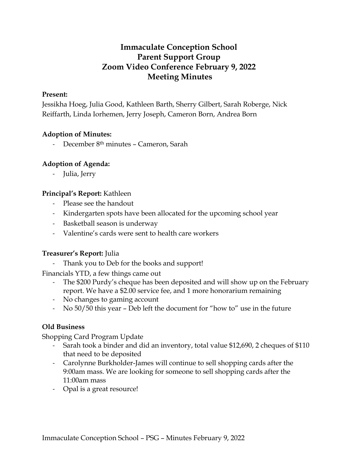# **Immaculate Conception School Parent Support Group Zoom Video Conference February 9, 2022 Meeting Minutes**

### **Present:**

Jessikha Hoeg, Julia Good, Kathleen Barth, Sherry Gilbert, Sarah Roberge, Nick Reiffarth, Linda Iorhemen, Jerry Joseph, Cameron Born, Andrea Born

### **Adoption of Minutes:**

December 8<sup>th</sup> minutes - Cameron, Sarah

# **Adoption of Agenda:**

- Julia, Jerry

# **Principal's Report:** Kathleen

- Please see the handout
- Kindergarten spots have been allocated for the upcoming school year
- Basketball season is underway
- Valentine's cards were sent to health care workers

# **Treasurer's Report:** Julia

- Thank you to Deb for the books and support!

Financials YTD, a few things came out

- The \$200 Purdy's cheque has been deposited and will show up on the February report. We have a \$2.00 service fee, and 1 more honorarium remaining
- No changes to gaming account
- No 50/50 this year Deb left the document for "how to" use in the future

# **Old Business**

Shopping Card Program Update

- Sarah took a binder and did an inventory, total value \$12,690, 2 cheques of \$110 that need to be deposited
- Carolynne Burkholder-James will continue to sell shopping cards after the 9:00am mass. We are looking for someone to sell shopping cards after the 11:00am mass
- Opal is a great resource!